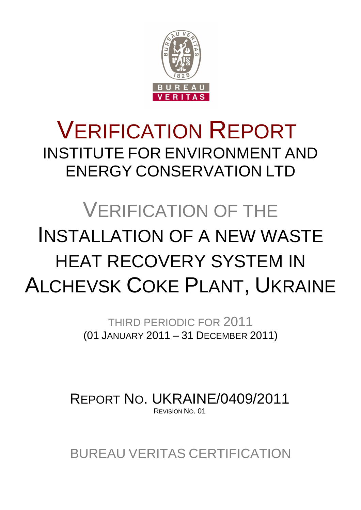

# VERIFICATION REPORT INSTITUTE FOR ENVIRONMENT AND ENERGY CONSERVATION LTD

# VERIFICATION OF THE INSTALLATION OF A NEW WASTE HEAT RECOVERY SYSTEM IN ALCHEVSK COKE PLANT, UKRAINE

THIRD PERIODIC FOR 2011 (01 JANUARY 2011 – 31 DECEMBER 2011)

REPORT NO. UKRAINE/0409/2011 REVISION NO. 01

BUREAU VERITAS CERTIFICATION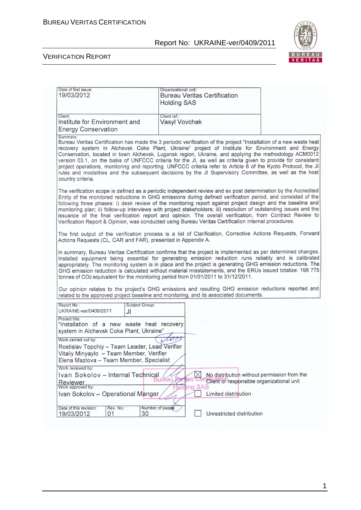

| Date of first issue:<br>19/03/2012                                                                                                                                                                                                                                                                                                                                                                                                                                                                                                                                                                                                                                                                            | Organizational unit:<br><b>Bureau Veritas Certification</b><br><b>Holding SAS</b>                             |  |  |  |
|---------------------------------------------------------------------------------------------------------------------------------------------------------------------------------------------------------------------------------------------------------------------------------------------------------------------------------------------------------------------------------------------------------------------------------------------------------------------------------------------------------------------------------------------------------------------------------------------------------------------------------------------------------------------------------------------------------------|---------------------------------------------------------------------------------------------------------------|--|--|--|
| Client:<br>Institute for Environment and<br><b>Energy Conservation</b>                                                                                                                                                                                                                                                                                                                                                                                                                                                                                                                                                                                                                                        | Client ref.:<br><b>Vasyl Vovchak</b>                                                                          |  |  |  |
| Summary:<br>Bureau Veritas Certification has made the 3 periodic verification of the project "Installation of a new waste heat<br>recovery system in Alchevsk Coke Plant, Ukraine" project of Institute for Environment and Energy<br>Conservation, located in town Alchevsk, Lugansk region, Ukraine, and applying the methodology ACM0012<br>version 03.1, on the basis of UNFCCC criteria for the JI, as well as criteria given to provide for consistent<br>project operations, monitoring and reporting. UNFCCC criteria refer to Article 6 of the Kyoto Protocol, the JI<br>rules and modalities and the subsequent decisions by the JI Supervisory Committee, as well as the host<br>country criteria. |                                                                                                               |  |  |  |
| The verification scope is defined as a periodic independent review and ex post determination by the Accredited<br>Entity of the monitored reductions in GHG emissions during defined verification period, and consisted of the<br>following three phases: i) desk review of the monitoring report against project design and the baseline and<br>monitoring plan; ii) follow-up interviews with project stakeholders; iii) resolution of outstanding issues and the<br>issuance of the final verification report and opinion. The overall verification, from Contract Review to<br>Verification Report & Opinion, was conducted using Bureau Veritas Certification internal procedures.                       |                                                                                                               |  |  |  |
| Actions Requests (CL, CAR and FAR), presented in Appendix A.                                                                                                                                                                                                                                                                                                                                                                                                                                                                                                                                                                                                                                                  | The first output of the verification process is a list of Clarification, Corrective Actions Requests, Forward |  |  |  |
| In summary, Bureau Veritas Certification confirms that the project is implemented as per determined changes.<br>Installed equipment being essential for generating emission reduction runs reliably and is calibrated<br>appropriately. The monitoring system is in place and the project is generating GHG emission reductions. The<br>GHG emission reduction is calculated without material misstatements, and the ERUs issued totalize: 198 775<br>tonnes of CO <sub>2</sub> equivalent for the monitoring period from 01/01/2011 to 31/12/2011.                                                                                                                                                           |                                                                                                               |  |  |  |
| Our opinion relates to the project's GHG emissions and resulting GHG emission reductions reported and<br>related to the approved project baseline and monitoring, and its associated documents.                                                                                                                                                                                                                                                                                                                                                                                                                                                                                                               |                                                                                                               |  |  |  |
| Subject Group:<br>Report No.:<br>UKRAINE-ver/0409/2011<br>JI                                                                                                                                                                                                                                                                                                                                                                                                                                                                                                                                                                                                                                                  |                                                                                                               |  |  |  |
| Project title:<br>"Installation of a new waste heat recovery<br>system in Alchevsk Coke Plant, Ukraine"                                                                                                                                                                                                                                                                                                                                                                                                                                                                                                                                                                                                       |                                                                                                               |  |  |  |
| Work carried out by:<br>Rostislav Topchiy - Team Leader, Lead Verifier<br>Vitaliy Minyaylo - Team Member, Verifier<br>Elena Mazlova - Team Member, Specialist                                                                                                                                                                                                                                                                                                                                                                                                                                                                                                                                                 |                                                                                                               |  |  |  |
| Work reviewed by:<br>Ivan Sokolov - Internal Technical<br>Reviewer<br>Work approved by:                                                                                                                                                                                                                                                                                                                                                                                                                                                                                                                                                                                                                       | No distribution without permission from the<br>ธลร<br>Client or responsible organizational unit<br>ing SAS    |  |  |  |
| Ivan Sokolov - Operational Manger<br>Limited distribution<br>Date of this revision:<br>Rev. No.:<br>Number of pages:<br>30<br>Unrestricted distribution<br>19/03/2012<br>01                                                                                                                                                                                                                                                                                                                                                                                                                                                                                                                                   |                                                                                                               |  |  |  |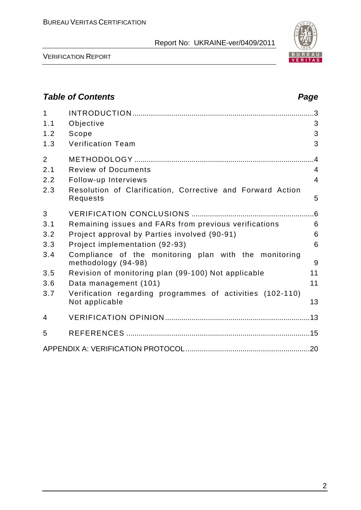

VERIFICATION REPORT

# **Table of Contents Page 2014** 1 INTRODUCTION .........................................................................................3 1.1 Objective 3 1.2 Scope 3 1.3 Verification Team 3 2 METHODOLOGY ........................................................................................4 2.1 Review of Documents 4 2.2 Follow-up Interviews 4 2.3 Resolution of Clarification, Corrective and Forward Action Requests 5 3 VERIFICATION CONCLUSIONS ............................................................6 3.1 Remaining issues and FARs from previous verifications 6 3.2 Project approval by Parties involved (90-91) 6 3.3 Project implementation (92-93) 6 3.4 Compliance of the monitoring plan with the monitoring methodology (94-98) 9 3.5 Revision of monitoring plan (99-100) Not applicable 11 3.6 Data management (101) 11 3.7 Verification regarding programmes of activities (102-110) Not applicable 13 4 VERIFICATION OPINION .......................................................................13 5 REFERENCES ..........................................................................................15 APPENDIX A: VERIFICATION PROTOCOL.............................................................20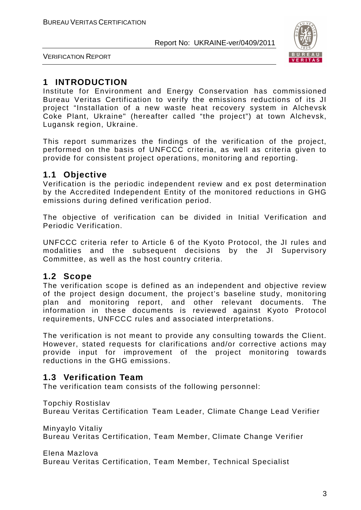

VERIFICATION REPORT

# **1 INTRODUCTION**

Institute for Environment and Energy Conservation has commissioned Bureau Veritas Certification to verify the emissions reductions of its JI project "Installation of a new waste heat recovery system in Alchevsk Coke Plant, Ukraine" (hereafter called "the project") at town Alchevsk, Lugansk region, Ukraine.

This report summarizes the findings of the verification of the project, performed on the basis of UNFCCC criteria, as well as criteria given to provide for consistent project operations, monitoring and reporting.

#### **1.1 Objective**

Verification is the periodic independent review and ex post determination by the Accredited Independent Entity of the monitored reductions in GHG emissions during defined verification period.

The objective of verification can be divided in Initial Verification and Periodic Verification.

UNFCCC criteria refer to Article 6 of the Kyoto Protocol, the JI rules and modalities and the subsequent decisions by the JI Supervisory Committee, as well as the host country criteria.

# **1.2 Scope**

The verification scope is defined as an independent and objective review of the project design document, the project's baseline study, monitoring plan and monitoring report, and other relevant documents. The information in these documents is reviewed against Kyoto Protocol requirements, UNFCCC rules and associated interpretations.

The verification is not meant to provide any consulting towards the Client. However, stated requests for clarifications and/or corrective actions may provide input for improvement of the project monitoring towards reductions in the GHG emissions.

# **1.3 Verification Team**

The verification team consists of the following personnel:

Topchiy Rostislav

Bureau Veritas Certification Team Leader, Climate Change Lead Verifier

Minyaylo Vitaliy Bureau Veritas Certification, Team Member, Climate Change Verifier

Elena Mazlova

Bureau Veritas Certification, Team Member, Technical Specialist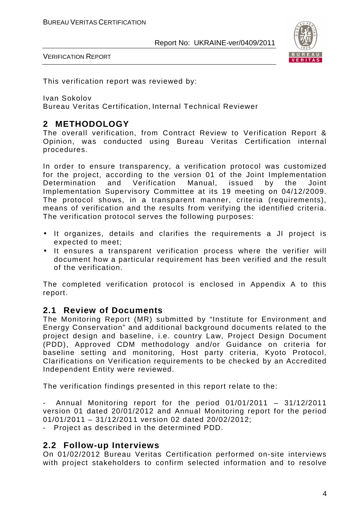

VERIFICATION REPORT

This verification report was reviewed by:

Ivan Sokolov

Bureau Veritas Certification, Internal Technical Reviewer

# **2 METHODOLOGY**

The overall verification, from Contract Review to Verification Report & Opinion, was conducted using Bureau Veritas Certification internal procedures.

In order to ensure transparency, a verification protocol was customized for the project, according to the version 01 of the Joint Implementation Determination and Verification Manual, issued by the Joint Implementation Supervisory Committee at its 19 meeting on 04/12/2009. The protocol shows, in a transparent manner, criteria (requirements), means of verification and the results from verifying the identified criteria. The verification protocol serves the following purposes:

- It organizes, details and clarifies the requirements a JI project is expected to meet;
- It ensures a transparent verification process where the verifier will document how a particular requirement has been verified and the result of the verification.

The completed verification protocol is enclosed in Appendix A to this report.

#### **2.1 Review of Documents**

The Monitoring Report (MR) submitted by "Institute for Environment and Energy Conservation" and additional background documents related to the project design and baseline, i.e. country Law, Project Design Document (PDD), Approved CDM methodology and/or Guidance on criteria for baseline setting and monitoring, Host party criteria, Kyoto Protocol, Clarifications on Verification requirements to be checked by an Accredited Independent Entity were reviewed.

The verification findings presented in this report relate to the:

Annual Monitoring report for the period  $01/01/2011 - 31/12/2011$ version 01 dated 20/01/2012 and Annual Monitoring report for the period 01/01/2011 – 31/12/2011 version 02 dated 20/02/2012;

- Project as described in the determined PDD.

#### **2.2 Follow-up Interviews**

On 01/02/2012 Bureau Veritas Certification performed on-site interviews with project stakeholders to confirm selected information and to resolve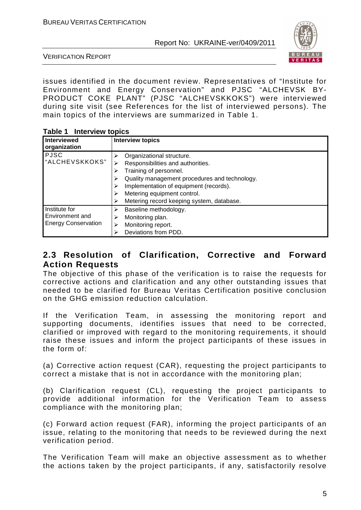

VERIFICATION REPORT

issues identified in the document review. Representatives of "Institute for Environment and Energy Conservation" and PJSC "ALCHEVSK BY-PRODUCT COKE PLANT" (PJSC "ALCHEVSKKOKS") were interviewed during site visit (see References for the list of interviewed persons). The main topics of the interviews are summarized in Table 1.

| <b>Table 1 Interview topics</b> |
|---------------------------------|
|---------------------------------|

| .<br><b>THUS YIGHT LODIUS</b>                                  |                                                                                                                                                                                                                                                                 |  |
|----------------------------------------------------------------|-----------------------------------------------------------------------------------------------------------------------------------------------------------------------------------------------------------------------------------------------------------------|--|
| <b>Interviewed</b><br>organization                             | <b>Interview topics</b>                                                                                                                                                                                                                                         |  |
| <b>PJSC</b><br>"ALCHEVSKKOKS"                                  | Organizational structure.<br>Responsibilities and authorities.<br>Training of personnel.<br>Quality management procedures and technology.<br>Implementation of equipment (records).<br>Metering equipment control.<br>Metering record keeping system, database. |  |
| Institute for<br>Environment and<br><b>Energy Conservation</b> | Baseline methodology.<br>Monitoring plan.<br>⋗<br>Monitoring report.<br>Deviations from PDD.                                                                                                                                                                    |  |

### **2.3 Resolution of Clarification, Corrective and Forward Action Requests**

The objective of this phase of the verification is to raise the requests for corrective actions and clarification and any other outstanding issues that needed to be clarified for Bureau Veritas Certification positive conclusion on the GHG emission reduction calculation.

If the Verification Team, in assessing the monitoring report and supporting documents, identifies issues that need to be corrected, clarified or improved with regard to the monitoring requirements, it should raise these issues and inform the project participants of these issues in the form of:

(a) Corrective action request (CAR), requesting the project participants to correct a mistake that is not in accordance with the monitoring plan;

(b) Clarification request (CL), requesting the project participants to provide additional information for the Verification Team to assess compliance with the monitoring plan;

(c) Forward action request (FAR), informing the project participants of an issue, relating to the monitoring that needs to be reviewed during the next verification period.

The Verification Team will make an objective assessment as to whether the actions taken by the project participants, if any, satisfactorily resolve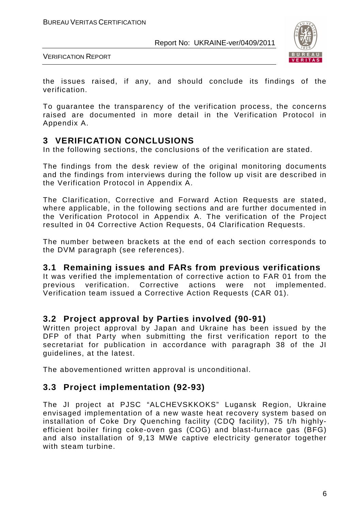

VERIFICATION REPORT

the issues raised, if any, and should conclude its findings of the verification.

To guarantee the transparency of the verification process, the concerns raised are documented in more detail in the Verification Protocol in Appendix A.

#### **3 VERIFICATION CONCLUSIONS**

In the following sections, the conclusions of the verification are stated.

The findings from the desk review of the original monitoring documents and the findings from interviews during the follow up visit are described in the Verification Protocol in Appendix A.

The Clarification, Corrective and Forward Action Requests are stated, where applicable, in the following sections and are further documented in the Verification Protocol in Appendix A. The verification of the Project resulted in 04 Corrective Action Requests, 04 Clarification Requests.

The number between brackets at the end of each section corresponds to the DVM paragraph (see references).

#### **3.1 Remaining issues and FARs from previous verifications**

It was verified the implementation of corrective action to FAR 01 from the previous verification. Corrective actions were not implemented. Verification team issued a Corrective Action Requests (CAR 01).

#### **3.2 Project approval by Parties involved (90-91)**

Written project approval by Japan and Ukraine has been issued by the DFP of that Party when submitting the first verification report to the secretariat for publication in accordance with paragraph 38 of the JI guidelines, at the latest.

The abovementioned written approval is unconditional.

#### **3.3 Project implementation (92-93)**

The JI project at PJSC "ALCHEVSKKOKS" Lugansk Region, Ukraine envisaged implementation of a new waste heat recovery system based on installation of Coke Dry Quenching facility (CDQ facility), 75 t/h highlyefficient boiler firing coke-oven gas (COG) and blast-furnace gas (BFG) and also installation of 9,13 MWe captive electricity generator together with steam turbine.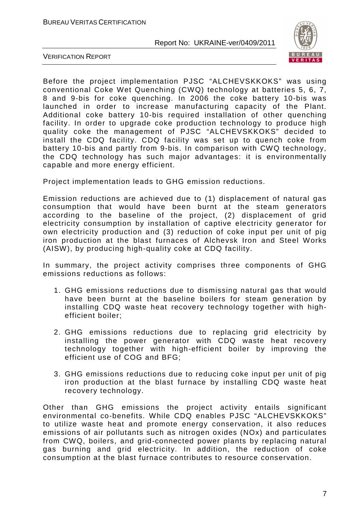

VERIFICATION REPORT

Before the project implementation PJSC "ALCHEVSKKOKS" was using conventional Coke Wet Quenching (CWQ) technology at batteries 5, 6, 7, 8 and 9-bis for coke quenching. In 2006 the coke battery 10-bis was launched in order to increase manufacturing capacity of the Plant. Additional coke battery 10-bis required installation of other quenching facility. In order to upgrade coke production technology to produce high quality coke the management of PJSC "ALCHEVSKKOKS" decided to install the CDQ facility. CDQ facility was set up to quench coke from battery 10-bis and partly from 9-bis. In comparison with CWQ technology, the CDQ technology has such major advantages: it is environmentally capable and more energy efficient.

Project implementation leads to GHG emission reductions.

Emission reductions are achieved due to (1) displacement of natural gas consumption that would have been burnt at the steam generators according to the baseline of the project, (2) displacement of grid electricity consumption by installation of captive electricity generator for own electricity production and (3) reduction of coke input per unit of pig iron production at the blast furnaces of Alchevsk Iron and Steel Works (AISW), by producing high-quality coke at CDQ facility.

In summary, the project activity comprises three components of GHG emissions reductions as follows:

- 1. GHG emissions reductions due to dismissing natural gas that would have been burnt at the baseline boilers for steam generation by installing CDQ waste heat recovery technology together with highefficient boiler;
- 2. GHG emissions reductions due to replacing grid electricity by installing the power generator with CDQ waste heat recovery technology together with high-efficient boiler by improving the efficient use of COG and BFG;
- 3. GHG emissions reductions due to reducing coke input per unit of pig iron production at the blast furnace by installing CDQ waste heat recovery technology.

Other than GHG emissions the project activity entails significant environmental co-benefits. While CDQ enables PJSC "ALCHEVSKKOKS" to utilize waste heat and promote energy conservation, it also reduces emissions of air pollutants such as nitrogen oxides (NOx) and particulates from CWQ, boilers, and grid-connected power plants by replacing natural gas burning and grid electricity. In addition, the reduction of coke consumption at the blast furnace contributes to resource conservation.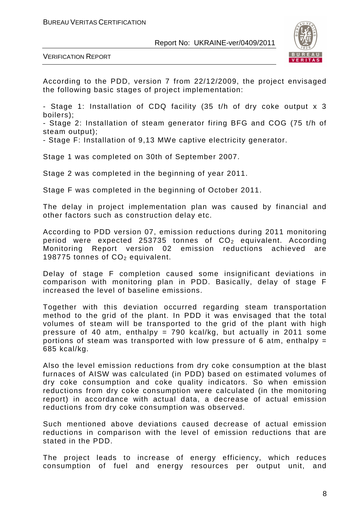

VERIFICATION REPORT

According to the PDD, version 7 from 22/12/2009, the project envisaged the following basic stages of project implementation:

- Stage 1: Installation of CDQ facility (35 t/h of dry coke output x 3 boilers);

- Stage 2: Installation of steam generator firing BFG and COG (75 t/h of steam output);

- Stage F: Installation of 9,13 MWe captive electricity generator.

Stage 1 was completed on 30th of September 2007.

Stage 2 was completed in the beginning of year 2011.

Stage F was completed in the beginning of October 2011.

The delay in project implementation plan was caused by financial and other factors such as construction delay etc.

According to PDD version 07, emission reductions during 2011 monitoring period were expected 253735 tonnes of  $CO<sub>2</sub>$  equivalent. According Monitoring Report version 02 emission reductions achieved are Report version 02 emission reductions achieved are 198775 tonnes of  $CO<sub>2</sub>$  equivalent.

Delay of stage F completion caused some insignificant deviations in comparison with monitoring plan in PDD. Basically, delay of stage F increased the level of baseline emissions.

Together with this deviation occurred regarding steam transportation method to the grid of the plant. In PDD it was envisaged that the total volumes of steam will be transported to the grid of the plant with high pressure of 40 atm, enthalpy = 790 kcal/kg, but actually in 2011 some portions of steam was transported with low pressure of 6 atm, enthalpy  $=$ 685 kcal/kg.

Also the level emission reductions from dry coke consumption at the blast furnaces of AISW was calculated (in PDD) based on estimated volumes of dry coke consumption and coke quality indicators. So when emission reductions from dry coke consumption were calculated (in the monitoring report) in accordance with actual data, a decrease of actual emission reductions from dry coke consumption was observed.

Such mentioned above deviations caused decrease of actual emission reductions in comparison with the level of emission reductions that are stated in the PDD.

The project leads to increase of energy efficiency, which reduces consumption of fuel and energy resources per output unit, and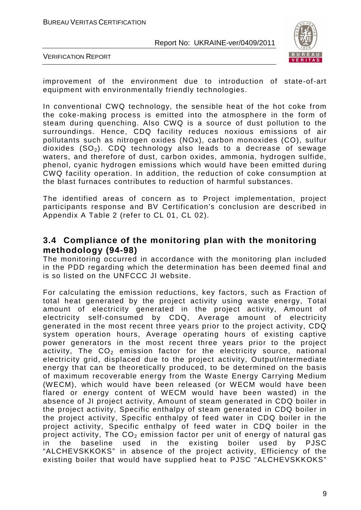

VERIFICATION REPORT

improvement of the environment due to introduction of state-of-art equipment with environmentally friendly technologies.

In conventional CWQ technology, the sensible heat of the hot coke from the coke-making process is emitted into the atmosphere in the form of steam during quenching. Also CWQ is a source of dust pollution to the surroundings. Hence, CDQ facility reduces noxious emissions of air pollutants such as nitrogen oxides (NOx), carbon monoxides (CO), sulfur dioxides  $(SO<sub>2</sub>)$ . CDQ technology also leads to a decrease of sewage waters, and therefore of dust, carbon oxides, ammonia, hydrogen sulfide, phenol, cyanic hydrogen emissions which would have been emitted during CWQ facility operation. In addition, the reduction of coke consumption at the blast furnaces contributes to reduction of harmful substances.

The identified areas of concern as to Project implementation, project participants response and BV Certification's conclusion are described in Appendix A Table 2 (refer to CL 01, CL 02).

#### **3.4 Compliance of the monitoring plan with the monitoring methodology (94-98)**

The monitoring occurred in accordance with the monitoring plan included in the PDD regarding which the determination has been deemed final and is so listed on the UNFCCC JI website.

For calculating the emission reductions, key factors, such as Fraction of total heat generated by the project activity using waste energy, Total amount of electricity generated in the project activity, Amount of electricity self-consumed by CDQ, Average amount of electricity generated in the most recent three years prior to the project activity, CDQ system operation hours, Average operating hours of existing captive power generators in the most recent three years prior to the project activity, The  $CO<sub>2</sub>$  emission factor for the electricity source, national electricity grid, displaced due to the project activity, Output/intermediate energy that can be theoretically produced, to be determined on the basis of maximum recoverable energy from the Waste Energy Carrying Medium (WECM), which would have been released (or WECM would have been flared or energy content of WECM would have been wasted) in the absence of JI project activity, Amount of steam generated in CDQ boiler in the project activity, Specific enthalpy of steam generated in CDQ boiler in the project activity, Specific enthalpy of feed water in CDQ boiler in the project activity, Specific enthalpy of feed water in CDQ boiler in the project activity, The  $CO<sub>2</sub>$  emission factor per unit of energy of natural gas in the baseline used in the existing boiler used by PJSC "ALCHEVSKKOKS" in absence of the project activity, Efficiency of the existing boiler that would have supplied heat to PJSC "ALCHEVSKKOKS"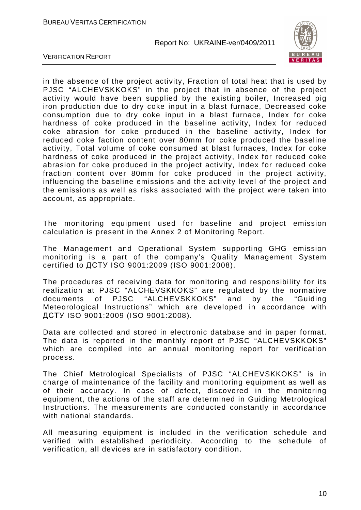

VERIFICATION REPORT

in the absence of the project activity, Fraction of total heat that is used by PJSC "ALCHEVSKKOKS" in the project that in absence of the project activity would have been supplied by the existing boiler, Increased pig iron production due to dry coke input in a blast furnace, Decreased coke consumption due to dry coke input in a blast furnace, Index for coke hardness of coke produced in the baseline activity, Index for reduced coke abrasion for coke produced in the baseline activity, Index for reduced coke faction content over 80mm for coke produced the baseline activity, Total volume of coke consumed at blast furnaces, Index for coke hardness of coke produced in the project activity, Index for reduced coke abrasion for coke produced in the project activity, Index for reduced coke fraction content over 80mm for coke produced in the project activity, influencing the baseline emissions and the activity level of the project and the emissions as well as risks associated with the project were taken into account, as appropriate.

The monitoring equipment used for baseline and project emission calculation is present in the Annex 2 of Monitoring Report.

The Management and Operational System supporting GHG emission monitoring is a part of the company's Quality Management System certified to ДСТУ ISO 9001:2009 (ISO 9001:2008).

The procedures of receiving data for monitoring and responsibility for its realization at PJSC "ALCHEVSKKOKS" are regulated by the normative documents of PJSC "ALCHEVSKKOKS" and by the "Guiding Meteorological Instructions" which are developed in accordance with ДСТУ ISO 9001:2009 (ISO 9001:2008).

Data are collected and stored in electronic database and in paper format. The data is reported in the monthly report of PJSC "ALCHEVSKKOKS" which are compiled into an annual monitoring report for verification process.

The Chief Metrological Specialists of PJSC "ALCHEVSKKOKS" is in charge of maintenance of the facility and monitoring equipment as well as of their accuracy. In case of defect, discovered in the monitoring equipment, the actions of the staff are determined in Guiding Metrological Instructions. The measurements are conducted constantly in accordance with national standards.

All measuring equipment is included in the verification schedule and verified with established periodicity. According to the schedule of verification, all devices are in satisfactory condition.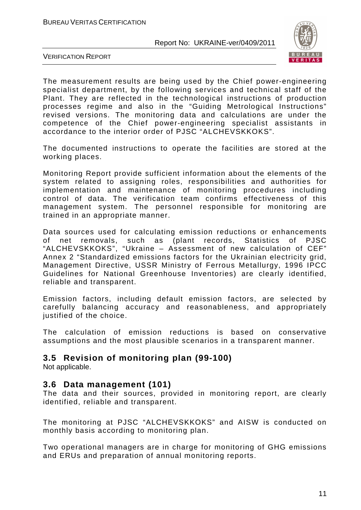

VERIFICATION REPORT

The measurement results are being used by the Chief power-engineering specialist department, by the following services and technical staff of the Plant. They are reflected in the technological instructions of production processes regime and also in the "Guiding Metrological Instructions" revised versions. The monitoring data and calculations are under the competence of the Chief power-engineering specialist assistants in accordance to the interior order of PJSC "ALCHEVSKKOKS".

The documented instructions to operate the facilities are stored at the working places.

Monitoring Report provide sufficient information about the elements of the system related to assigning roles, responsibilities and authorities for implementation and maintenance of monitoring procedures including control of data. The verification team confirms effectiveness of this management system. The personnel responsible for monitoring are trained in an appropriate manner.

Data sources used for calculating emission reductions or enhancements of net removals, such as (plant records, Statistics of PJSC "ALCHEVSKKOKS", "Ukraine – Assessment of new calculation of CEF" Annex 2 "Standardized emissions factors for the Ukrainian electricity grid, Management Directive, USSR Ministry of Ferrous Metallurgy, 1996 IPCC Guidelines for National Greenhouse Inventories) are clearly identified, reliable and transparent.

Emission factors, including default emission factors, are selected by carefully balancing accuracy and reasonableness, and appropriately justified of the choice.

The calculation of emission reductions is based on conservative assumptions and the most plausible scenarios in a transparent manner.

# **3.5 Revision of monitoring plan (99-100)**

Not applicable.

#### **3.6 Data management (101)**

The data and their sources, provided in monitoring report, are clearly identified, reliable and transparent.

The monitoring at PJSC "ALCHEVSKKOKS" and AISW is conducted on monthly basis according to monitoring plan.

Two operational managers are in charge for monitoring of GHG emissions and ERUs and preparation of annual monitoring reports.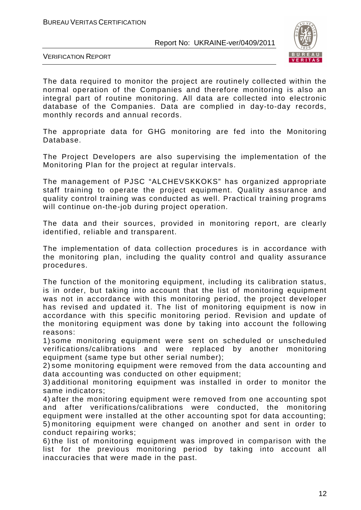

VERIFICATION REPORT

The data required to monitor the project are routinely collected within the normal operation of the Companies and therefore monitoring is also an integral part of routine monitoring. All data are collected into electronic database of the Companies. Data are complied in day-to-day records, monthly records and annual records.

The appropriate data for GHG monitoring are fed into the Monitoring Database.

The Project Developers are also supervising the implementation of the Monitoring Plan for the project at regular intervals.

The management of PJSC "ALCHEVSKKOKS" has organized appropriate staff training to operate the project equipment. Quality assurance and quality control training was conducted as well. Practical training programs will continue on-the-job during project operation.

The data and their sources, provided in monitoring report, are clearly identified, reliable and transparent.

The implementation of data collection procedures is in accordance with the monitoring plan, including the quality control and quality assurance procedures.

The function of the monitoring equipment, including its calibration status, is in order, but taking into account that the list of monitoring equipment was not in accordance with this monitoring period, the project developer has revised and updated it. The list of monitoring equipment is now in accordance with this specific monitoring period. Revision and update of the monitoring equipment was done by taking into account the following reasons:

1) some monitoring equipment were sent on scheduled or unscheduled verifications/calibrations and were replaced by another monitoring equipment (same type but other serial number);

2) some monitoring equipment were removed from the data accounting and data accounting was conducted on other equipment;

3) additional monitoring equipment was installed in order to monitor the same indicators;

4) after the monitoring equipment were removed from one accounting spot and after verifications/calibrations were conducted, the monitoring equipment were installed at the other accounting spot for data accounting; 5) monitoring equipment were changed on another and sent in order to conduct repairing works;

6) the list of monitoring equipment was improved in comparison with the list for the previous monitoring period by taking into account all inaccuracies that were made in the past.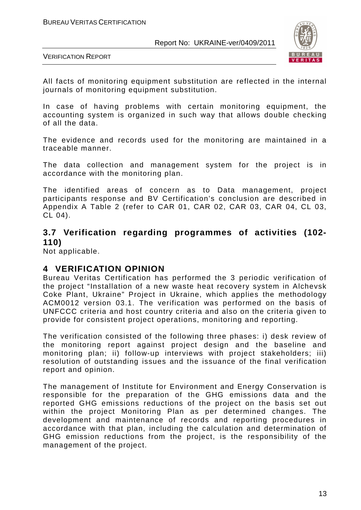

VERIFICATION REPORT

All facts of monitoring equipment substitution are reflected in the internal journals of monitoring equipment substitution.

In case of having problems with certain monitoring equipment, the accounting system is organized in such way that allows double checking of all the data.

The evidence and records used for the monitoring are maintained in a traceable manner.

The data collection and management system for the project is in accordance with the monitoring plan.

The identified areas of concern as to Data management, project participants response and BV Certification's conclusion are described in Appendix A Table 2 (refer to CAR 01, CAR 02, CAR 03, CAR 04, CL 03, CL 04).

### **3.7 Verification regarding programmes of activities (102- 110)**

Not applicable.

#### **4 VERIFICATION OPINION**

Bureau Veritas Certification has performed the 3 periodic verification of the project "Installation of a new waste heat recovery system in Alchevsk Coke Plant, Ukraine" Project in Ukraine, which applies the methodology ACM0012 version 03.1. The verification was performed on the basis of UNFCCC criteria and host country criteria and also on the criteria given to provide for consistent project operations, monitoring and reporting.

The verification consisted of the following three phases: i) desk review of the monitoring report against project design and the baseline and monitoring plan; ii) follow-up interviews with project stakeholders; iii) resolution of outstanding issues and the issuance of the final verification report and opinion.

The management of Institute for Environment and Energy Conservation is responsible for the preparation of the GHG emissions data and the reported GHG emissions reductions of the project on the basis set out within the project Monitoring Plan as per determined changes. The development and maintenance of records and reporting procedures in accordance with that plan, including the calculation and determination of GHG emission reductions from the project, is the responsibility of the management of the project.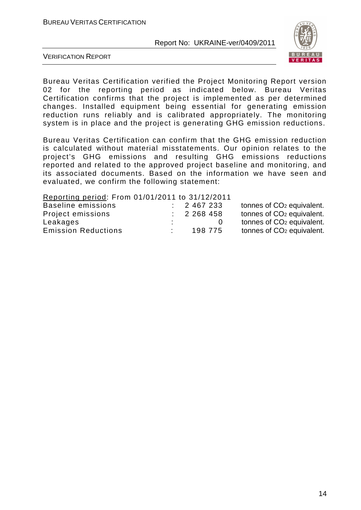

VERIFICATION REPORT

Bureau Veritas Certification verified the Project Monitoring Report version 02 for the reporting period as indicated below. Bureau Veritas Certification confirms that the project is implemented as per determined changes. Installed equipment being essential for generating emission reduction runs reliably and is calibrated appropriately. The monitoring system is in place and the project is generating GHG emission reductions.

Bureau Veritas Certification can confirm that the GHG emission reduction is calculated without material misstatements. Our opinion relates to the project's GHG emissions and resulting GHG emissions reductions reported and related to the approved project baseline and monitoring, and its associated documents. Based on the information we have seen and evaluated, we confirm the following statement:

Reporting period: From 01/01/2011 to 31/12/2011

| Baseline emissions         | 2 467 233 | tonnes of CO <sub>2</sub> equivalent. |
|----------------------------|-----------|---------------------------------------|
| Project emissions          | 2 268 458 | tonnes of CO <sub>2</sub> equivalent. |
| Leakages                   |           | tonnes of CO <sub>2</sub> equivalent. |
| <b>Emission Reductions</b> | 198 775   | tonnes of CO <sub>2</sub> equivalent. |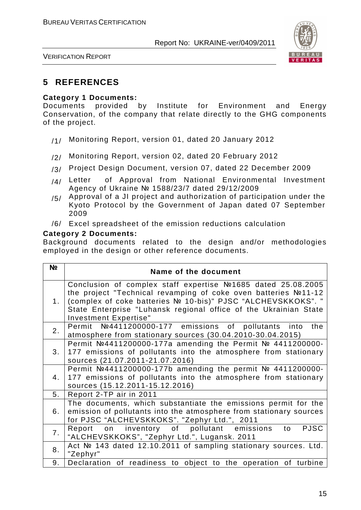

VERIFICATION REPORT

# **5 REFERENCES**

#### **Category 1 Documents:**

Documents provided by Institute for Environment and Energy Conservation, of the company that relate directly to the GHG components of the project.

- /1/ Monitoring Report, version 01, dated 20 January 2012
- /2/ Monitoring Report, version 02, dated 20 February 2012
- /3/ Project Design Document, version 07, dated 22 December 2009
- $/4/$  Letter of Approval from National Environmental Investment Agency of Ukraine № 1588/23/7 dated 29/12/2009
- $/5/$  Approval of a JI project and authorization of participation under the Kyoto Protocol by the Government of Japan dated 07 September 2009
- /6/ Excel spreadsheet of the emission reductions calculation

#### **Category 2 Documents:**

Background documents related to the design and/or methodologies employed in the design or other reference documents.

| N <sub>2</sub> | Name of the document                                                                                                                                                                                                                                                                         |
|----------------|----------------------------------------------------------------------------------------------------------------------------------------------------------------------------------------------------------------------------------------------------------------------------------------------|
| 1 <sub>1</sub> | Conclusion of complex staff expertise Nº1685 dated 25.08.2005<br>the project "Technical revamping of coke oven batteries №11-12<br>(complex of coke batteries № 10-bis)" PJSC "ALCHEVSKKOKS". "<br>State Enterprise "Luhansk regional office of the Ukrainian State<br>Investment Expertise" |
| 2.             | Permit Nº4411200000-177 emissions of pollutants into<br>the<br>atmosphere from stationary sources (30.04.2010-30.04.2015)                                                                                                                                                                    |
| 3 <sub>1</sub> | Permit №4411200000-177a amending the Permit № 4411200000-<br>177 emissions of pollutants into the atmosphere from stationary<br>sources (21.07.2011-21.07.2016)                                                                                                                              |
| 4.             | Permit $N24411200000-177b$ amending the permit $N2411200000-177b$<br>177 emissions of pollutants into the atmosphere from stationary<br>sources (15.12.2011-15.12.2016)                                                                                                                      |
| 5 <sub>1</sub> | Report 2-TP air in 2011                                                                                                                                                                                                                                                                      |
| 6.             | The documents, which substantiate the emissions permit for the<br>emission of pollutants into the atmosphere from stationary sources<br>for PJSC "ALCHEVSKKOKS". "Zephyr Ltd.", 2011                                                                                                         |
| 7.             | <b>PJSC</b><br>Report on inventory of pollutant emissions to<br>"ALCHEVSKKOKS", "Zephyr Ltd.", Lugansk. 2011                                                                                                                                                                                 |
| 8.             | Act № 143 dated 12.10.2011 of sampling stationary sources. Ltd.<br>"Zephyr"                                                                                                                                                                                                                  |
| 9.             | Declaration of readiness to object to the operation of turbine                                                                                                                                                                                                                               |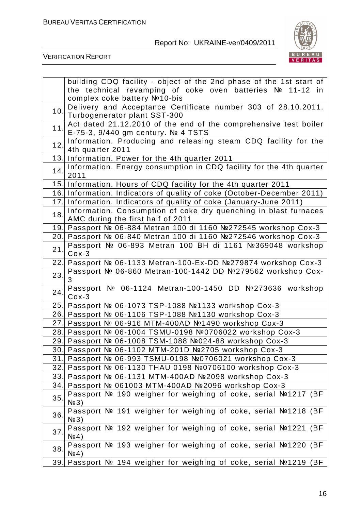

|     | building CDQ facility - object of the 2nd phase of the 1st start of                                     |
|-----|---------------------------------------------------------------------------------------------------------|
|     | the technical revamping of coke oven batteries Nº 11-12 in                                              |
|     | complex coke battery №10-bis                                                                            |
| 10. | Delivery and Acceptance Certificate number 303 of 28.10.2011.                                           |
|     | Turbogenerator plant SST-300                                                                            |
| 11. | Act dated 21.12.2010 of the end of the comprehensive test boiler<br>E-75-3, 9/440 gm century. Nº 4 TSTS |
| 12. | Information. Producing and releasing steam CDQ facility for the                                         |
|     | 4th quarter 2011                                                                                        |
|     | 13. Information. Power for the 4th quarter 2011                                                         |
| 14. | Information. Energy consumption in CDQ facility for the 4th quarter<br>2011                             |
|     | 15. Information. Hours of CDQ facility for the 4th quarter 2011                                         |
|     | 16. Information. Indicators of quality of coke (October-December 2011)                                  |
|     | 17. Information. Indicators of quality of coke (January-June 2011)                                      |
| 18. | Information. Consumption of coke dry quenching in blast furnaces<br>AMC during the first half of 2011   |
|     | 19. Passport № 06-884 Metran 100 di 1160 №272545 workshop Cox-3                                         |
|     | 20. Passport Nº 06-840 Metran 100 di 1160 Nº272546 workshop Cox-3                                       |
| 21. | Passport № 06-893 Metran 100 BH di 1161 №369048 workshop<br>$Cox-3$                                     |
|     | 22. Passport № 06-1133 Metran-100-Ex-DD №279874 workshop Cox-3                                          |
|     | Passport № 06-860 Metran-100-1442 DD №279562 workshop Cox-                                              |
| 23. | 3                                                                                                       |
| 24. | Passport № 06-1124 Metran-100-1450 DD №273636 workshop                                                  |
|     | $Cox-3$                                                                                                 |
|     | 25. Passport № 06-1073 TSP-1088 №1133 workshop Cox-3                                                    |
|     | 26. Passport № 06-1106 TSP-1088 №1130 workshop Cox-3                                                    |
|     | 27. Passport Nº 06-916 MTM-400AD Nº1490 workshop Cox-3                                                  |
|     | 28. Passport Nº 06-1004 TSMU-0198 №0706022 workshop Cox-3                                               |
|     | 29. Passport № 06-1008 TSM-1088 №024-88 workshop Cox-3                                                  |
|     | 30. Passport № 06-1102 MTM-201D №2705 workshop Cox-3                                                    |
|     | 31. Passport Nº 06-993 TSMU-0198 №0706021 workshop Cox-3                                                |
|     | 32. Passport № 06-1130 THAU 0198 №0706100 workshop Cox-3                                                |
|     | 33. Passport Nº 06-1131 MTM-400AD Nº2098 workshop Cox-3                                                 |
|     | 34. Passport № 061003 MTM-400AD №2096 workshop Cox-3                                                    |
| 35. | Passport № 190 weigher for weighing of coke, serial №1217 (BF<br>N <sub>2</sub> 3                       |
| 36. | Passport № 191 weigher for weighing of coke, serial №1218 (BF<br>$N2$ 3)                                |
| 37. | Passport № 192 weigher for weighing of coke, serial №1221 (BF<br>N <sub>2</sub> 4)                      |
| 38. | Passport № 193 weigher for weighing of coke, serial №1220 (BF<br>N <sub>2</sub> 4)                      |
| 39. | Passport № 194 weigher for weighing of coke, serial №1219<br>(BF                                        |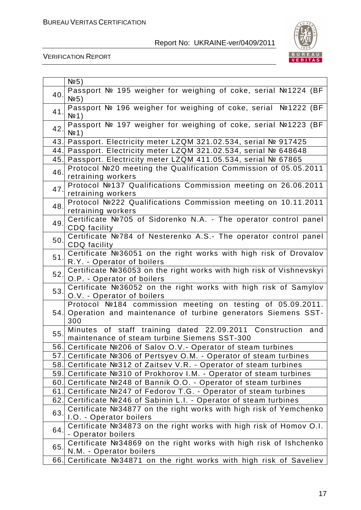

| Passport № 195 weigher for weighing of coke, serial №1224 (BF<br>40.<br>N <sub>2</sub> 5)<br>Passport № 196 weigher for weighing of coke, serial Nº1222 (BF<br>41.<br>N <sup>0</sup> 1)<br>Passport № 197 weigher for weighing of coke, serial №1223 (BF<br>42.<br>N <sub>2</sub> 1)<br>Passport. Electricity meter LZQM 321.02.534, serial № 917425<br>43.<br>Passport. Electricity meter LZQM 321.02.534, serial № 648648<br>44.<br>Passport. Electricity meter LZQM 411.05.534, serial № 67865<br>45.<br>Protocol №20 meeting the Qualification Commission of 05.05.2011<br>46.<br>retraining workers<br>Protocol №137 Qualifications Commission meeting on 26.06.2011<br>47.<br>retraining workers<br>Protocol №222 Qualifications Commission meeting on 10.11.2011<br>48.<br>retraining workers<br>Certificate №705 of Sidorenko N.A. - The operator control panel<br>49.<br><b>CDQ</b> facility<br>Certificate №784 of Nesterenko A.S.- The operator control panel<br>50.<br>CDQ facility<br>Certificate №36051 on the right works with high risk of Drovalov<br>51.<br>R.Y. - Operator of boilers<br>Certificate Nº36053 on the right works with high risk of Vishnevskyi<br>52.<br>O.P. - Operator of boilers<br>Certificate №36052 on the right works with high risk of Samylov<br>53.<br>O.V. - Operator of boilers<br>Protocol №184 commission meeting on testing of 05.09.2011.<br>Operation and maintenance of turbine generators Siemens SST-<br>54.<br>300<br>Minutes of staff training dated 22.09.2011 Construction and<br>55.<br>maintenance of steam turbine Siemens SST-300<br>56. Certificate Nº206 of Salov O.V. - Operator of steam turbines<br>57. Certificate №306 of Pertsyev O.M. - Operator of steam turbines |
|-------------------------------------------------------------------------------------------------------------------------------------------------------------------------------------------------------------------------------------------------------------------------------------------------------------------------------------------------------------------------------------------------------------------------------------------------------------------------------------------------------------------------------------------------------------------------------------------------------------------------------------------------------------------------------------------------------------------------------------------------------------------------------------------------------------------------------------------------------------------------------------------------------------------------------------------------------------------------------------------------------------------------------------------------------------------------------------------------------------------------------------------------------------------------------------------------------------------------------------------------------------------------------------------------------------------------------------------------------------------------------------------------------------------------------------------------------------------------------------------------------------------------------------------------------------------------------------------------------------------------------------------------------------------------------------------------------------------------------------------|
|                                                                                                                                                                                                                                                                                                                                                                                                                                                                                                                                                                                                                                                                                                                                                                                                                                                                                                                                                                                                                                                                                                                                                                                                                                                                                                                                                                                                                                                                                                                                                                                                                                                                                                                                           |
|                                                                                                                                                                                                                                                                                                                                                                                                                                                                                                                                                                                                                                                                                                                                                                                                                                                                                                                                                                                                                                                                                                                                                                                                                                                                                                                                                                                                                                                                                                                                                                                                                                                                                                                                           |
|                                                                                                                                                                                                                                                                                                                                                                                                                                                                                                                                                                                                                                                                                                                                                                                                                                                                                                                                                                                                                                                                                                                                                                                                                                                                                                                                                                                                                                                                                                                                                                                                                                                                                                                                           |
|                                                                                                                                                                                                                                                                                                                                                                                                                                                                                                                                                                                                                                                                                                                                                                                                                                                                                                                                                                                                                                                                                                                                                                                                                                                                                                                                                                                                                                                                                                                                                                                                                                                                                                                                           |
|                                                                                                                                                                                                                                                                                                                                                                                                                                                                                                                                                                                                                                                                                                                                                                                                                                                                                                                                                                                                                                                                                                                                                                                                                                                                                                                                                                                                                                                                                                                                                                                                                                                                                                                                           |
|                                                                                                                                                                                                                                                                                                                                                                                                                                                                                                                                                                                                                                                                                                                                                                                                                                                                                                                                                                                                                                                                                                                                                                                                                                                                                                                                                                                                                                                                                                                                                                                                                                                                                                                                           |
|                                                                                                                                                                                                                                                                                                                                                                                                                                                                                                                                                                                                                                                                                                                                                                                                                                                                                                                                                                                                                                                                                                                                                                                                                                                                                                                                                                                                                                                                                                                                                                                                                                                                                                                                           |
|                                                                                                                                                                                                                                                                                                                                                                                                                                                                                                                                                                                                                                                                                                                                                                                                                                                                                                                                                                                                                                                                                                                                                                                                                                                                                                                                                                                                                                                                                                                                                                                                                                                                                                                                           |
|                                                                                                                                                                                                                                                                                                                                                                                                                                                                                                                                                                                                                                                                                                                                                                                                                                                                                                                                                                                                                                                                                                                                                                                                                                                                                                                                                                                                                                                                                                                                                                                                                                                                                                                                           |
|                                                                                                                                                                                                                                                                                                                                                                                                                                                                                                                                                                                                                                                                                                                                                                                                                                                                                                                                                                                                                                                                                                                                                                                                                                                                                                                                                                                                                                                                                                                                                                                                                                                                                                                                           |
|                                                                                                                                                                                                                                                                                                                                                                                                                                                                                                                                                                                                                                                                                                                                                                                                                                                                                                                                                                                                                                                                                                                                                                                                                                                                                                                                                                                                                                                                                                                                                                                                                                                                                                                                           |
|                                                                                                                                                                                                                                                                                                                                                                                                                                                                                                                                                                                                                                                                                                                                                                                                                                                                                                                                                                                                                                                                                                                                                                                                                                                                                                                                                                                                                                                                                                                                                                                                                                                                                                                                           |
|                                                                                                                                                                                                                                                                                                                                                                                                                                                                                                                                                                                                                                                                                                                                                                                                                                                                                                                                                                                                                                                                                                                                                                                                                                                                                                                                                                                                                                                                                                                                                                                                                                                                                                                                           |
|                                                                                                                                                                                                                                                                                                                                                                                                                                                                                                                                                                                                                                                                                                                                                                                                                                                                                                                                                                                                                                                                                                                                                                                                                                                                                                                                                                                                                                                                                                                                                                                                                                                                                                                                           |
|                                                                                                                                                                                                                                                                                                                                                                                                                                                                                                                                                                                                                                                                                                                                                                                                                                                                                                                                                                                                                                                                                                                                                                                                                                                                                                                                                                                                                                                                                                                                                                                                                                                                                                                                           |
|                                                                                                                                                                                                                                                                                                                                                                                                                                                                                                                                                                                                                                                                                                                                                                                                                                                                                                                                                                                                                                                                                                                                                                                                                                                                                                                                                                                                                                                                                                                                                                                                                                                                                                                                           |
|                                                                                                                                                                                                                                                                                                                                                                                                                                                                                                                                                                                                                                                                                                                                                                                                                                                                                                                                                                                                                                                                                                                                                                                                                                                                                                                                                                                                                                                                                                                                                                                                                                                                                                                                           |
|                                                                                                                                                                                                                                                                                                                                                                                                                                                                                                                                                                                                                                                                                                                                                                                                                                                                                                                                                                                                                                                                                                                                                                                                                                                                                                                                                                                                                                                                                                                                                                                                                                                                                                                                           |
| 58. Certificate №312 of Zaitsev V.R. - Operator of steam turbines                                                                                                                                                                                                                                                                                                                                                                                                                                                                                                                                                                                                                                                                                                                                                                                                                                                                                                                                                                                                                                                                                                                                                                                                                                                                                                                                                                                                                                                                                                                                                                                                                                                                         |
| 59.<br>Certificate №310 of Prokhorov I.M. - Operator of steam turbines                                                                                                                                                                                                                                                                                                                                                                                                                                                                                                                                                                                                                                                                                                                                                                                                                                                                                                                                                                                                                                                                                                                                                                                                                                                                                                                                                                                                                                                                                                                                                                                                                                                                    |
| Certificate №248 of Bannik O.O. - Operator of steam turbines<br>60.I                                                                                                                                                                                                                                                                                                                                                                                                                                                                                                                                                                                                                                                                                                                                                                                                                                                                                                                                                                                                                                                                                                                                                                                                                                                                                                                                                                                                                                                                                                                                                                                                                                                                      |
| Certificate №247 of Fedorov T.G. - Operator of steam turbines<br>61.                                                                                                                                                                                                                                                                                                                                                                                                                                                                                                                                                                                                                                                                                                                                                                                                                                                                                                                                                                                                                                                                                                                                                                                                                                                                                                                                                                                                                                                                                                                                                                                                                                                                      |
| Certificate №246 of Sabinin L.I. - Operator of steam turbines<br>62.                                                                                                                                                                                                                                                                                                                                                                                                                                                                                                                                                                                                                                                                                                                                                                                                                                                                                                                                                                                                                                                                                                                                                                                                                                                                                                                                                                                                                                                                                                                                                                                                                                                                      |
| Certificate №34877 on the right works with high risk of Yemchenko<br>63.<br>I.O. - Operator boilers                                                                                                                                                                                                                                                                                                                                                                                                                                                                                                                                                                                                                                                                                                                                                                                                                                                                                                                                                                                                                                                                                                                                                                                                                                                                                                                                                                                                                                                                                                                                                                                                                                       |
| Certificate №34873 on the right works with high risk of Homov O.I.<br>64.<br>- Operator boilers                                                                                                                                                                                                                                                                                                                                                                                                                                                                                                                                                                                                                                                                                                                                                                                                                                                                                                                                                                                                                                                                                                                                                                                                                                                                                                                                                                                                                                                                                                                                                                                                                                           |
| Certificate Nº34869 on the right works with high risk of Ishchenko<br>65.<br>N.M. - Operator boilers                                                                                                                                                                                                                                                                                                                                                                                                                                                                                                                                                                                                                                                                                                                                                                                                                                                                                                                                                                                                                                                                                                                                                                                                                                                                                                                                                                                                                                                                                                                                                                                                                                      |
| Certificate Nº34871 on the right works with high risk of Saveliev<br>66.                                                                                                                                                                                                                                                                                                                                                                                                                                                                                                                                                                                                                                                                                                                                                                                                                                                                                                                                                                                                                                                                                                                                                                                                                                                                                                                                                                                                                                                                                                                                                                                                                                                                  |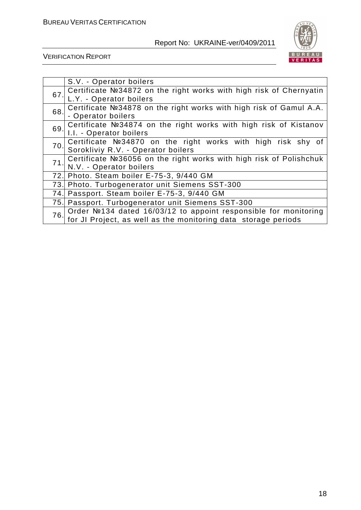

|     | S.V. - Operator boilers                                            |
|-----|--------------------------------------------------------------------|
| 67. | Certificate №34872 on the right works with high risk of Chernyatin |
|     | L.Y. - Operator boilers                                            |
| 68. | Certificate №34878 on the right works with high risk of Gamul A.A. |
|     | - Operator boilers                                                 |
| 69. | Certificate №34874 on the right works with high risk of Kistanov   |
|     | I.I. - Operator boilers                                            |
| 70. | Certificate Nº34870 on the right works with high risk shy of       |
|     | Sorokliviy R.V. - Operator boilers                                 |
| 71. | Certificate №36056 on the right works with high risk of Polishchuk |
|     | N.V. - Operator boilers                                            |
|     | 72. Photo. Steam boiler E-75-3, 9/440 GM                           |
|     | 73. Photo. Turbogenerator unit Siemens SST-300                     |
| 74. | Passport. Steam boiler E-75-3, 9/440 GM                            |
|     | 75. Passport. Turbogenerator unit Siemens SST-300                  |
| 76. | Order №134 dated 16/03/12 to appoint responsible for monitoring    |
|     | for JI Project, as well as the monitoring data storage periods     |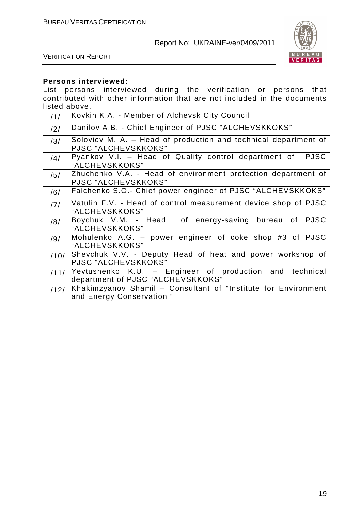

VERIFICATION REPORT

#### **Persons interviewed:**

List persons interviewed during the verification or persons that contributed with other information that are not included in the documents listed above.

| 11/  | Kovkin K.A. - Member of Alchevsk City Council                                                |
|------|----------------------------------------------------------------------------------------------|
| /2/  | Danilov A.B. - Chief Engineer of PJSC "ALCHEVSKKOKS"                                         |
| /3/  | Soloviev M. A. - Head of production and technical department of<br>PJSC "ALCHEVSKKOKS"       |
| /4/  | Pyankov V.I. - Head of Quality control department of<br><b>PJSC</b><br>"ALCHEVSKKOKS"        |
| /5/  | Zhuchenko V.A. - Head of environment protection department of<br>PJSC "ALCHEVSKKOKS"         |
| /6/  | Falchenko S.O.- Chief power engineer of PJSC "ALCHEVSKKOKS"                                  |
| 171  | Vatulin F.V. - Head of control measurement device shop of PJSC<br>"ALCHEVSKKOKS"             |
| /8/  | Boychuk V.M. - Head of energy-saving bureau of PJSC<br>"ALCHEVSKKOKS"                        |
| /9/  | Mohulenko A.G. - power engineer of coke shop #3 of PJSC<br>"ALCHEVSKKOKS"                    |
| /10/ | Shevchuk V.V. - Deputy Head of heat and power workshop of<br>PJSC "ALCHEVSKKOKS"             |
| /11/ | Yevtushenko K.U. - Engineer of production and technical<br>department of PJSC "ALCHEVSKKOKS" |
| /12/ | Khakimzyanov Shamil - Consultant of "Institute for Environment"<br>and Energy Conservation"  |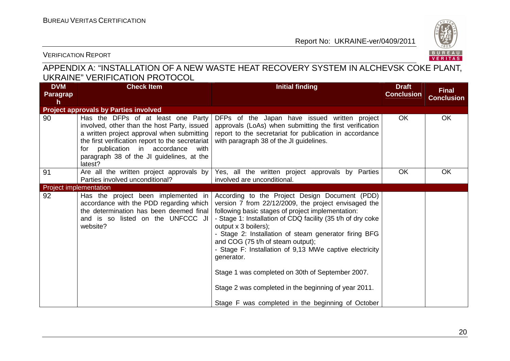

VERIFICATION REPORT

# APPENDIX A: "INSTALLATION OF A NEW WASTE HEAT RECOVERY SYSTEM IN ALCHEVSK COKE PLANT, UKRAINE" VERIFICATION PROTOCOL

| <b>DVM</b><br><b>Paragrap</b><br>h | <b>Check Item</b>                                                                                                                                                                                                                                                                    | <b>Initial finding</b>                                                                                                                                                                                                                                                                                                                                                                                                                                                                                                                                                                     | <b>Draft</b><br><b>Conclusion</b> | <b>Final</b><br><b>Conclusion</b> |
|------------------------------------|--------------------------------------------------------------------------------------------------------------------------------------------------------------------------------------------------------------------------------------------------------------------------------------|--------------------------------------------------------------------------------------------------------------------------------------------------------------------------------------------------------------------------------------------------------------------------------------------------------------------------------------------------------------------------------------------------------------------------------------------------------------------------------------------------------------------------------------------------------------------------------------------|-----------------------------------|-----------------------------------|
|                                    | <b>Project approvals by Parties involved</b>                                                                                                                                                                                                                                         |                                                                                                                                                                                                                                                                                                                                                                                                                                                                                                                                                                                            |                                   |                                   |
| 90                                 | Has the DFPs of at least one Party<br>involved, other than the host Party, issued<br>a written project approval when submitting<br>the first verification report to the secretariat<br>for publication in accordance<br>with<br>paragraph 38 of the JI guidelines, at the<br>latest? | DFPs of the Japan have issued written project<br>approvals (LoAs) when submitting the first verification<br>report to the secretariat for publication in accordance<br>with paragraph 38 of the JI guidelines.                                                                                                                                                                                                                                                                                                                                                                             | <b>OK</b>                         | <b>OK</b>                         |
| 91                                 | Are all the written project approvals by<br>Parties involved unconditional?                                                                                                                                                                                                          | Yes, all the written project approvals by Parties<br>involved are unconditional.                                                                                                                                                                                                                                                                                                                                                                                                                                                                                                           | <b>OK</b>                         | <b>OK</b>                         |
| <b>Project implementation</b>      |                                                                                                                                                                                                                                                                                      |                                                                                                                                                                                                                                                                                                                                                                                                                                                                                                                                                                                            |                                   |                                   |
| 92                                 | Has the project been implemented in<br>accordance with the PDD regarding which<br>the determination has been deemed final<br>and is so listed on the UNFCCC JI<br>website?                                                                                                           | According to the Project Design Document (PDD)<br>version 7 from 22/12/2009, the project envisaged the<br>following basic stages of project implementation:<br>- Stage 1: Installation of CDQ facility (35 t/h of dry coke<br>output x 3 boilers);<br>- Stage 2: Installation of steam generator firing BFG<br>and COG (75 t/h of steam output);<br>- Stage F: Installation of 9,13 MWe captive electricity<br>generator.<br>Stage 1 was completed on 30th of September 2007.<br>Stage 2 was completed in the beginning of year 2011.<br>Stage F was completed in the beginning of October |                                   |                                   |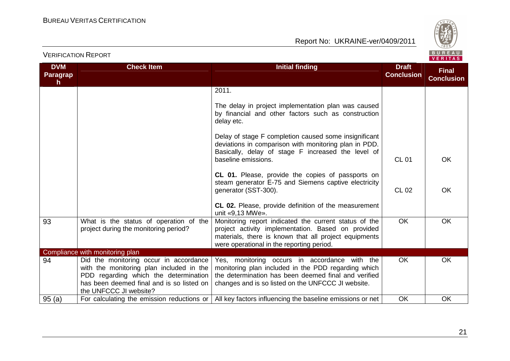

| <b>DVM</b>     | <b>Check Item</b>                                                                                                                                                                                  | <b>Initial finding</b>                                                                                                                                                                                             | <b>Draft</b>      |                                   |
|----------------|----------------------------------------------------------------------------------------------------------------------------------------------------------------------------------------------------|--------------------------------------------------------------------------------------------------------------------------------------------------------------------------------------------------------------------|-------------------|-----------------------------------|
| Paragrap<br>h. |                                                                                                                                                                                                    |                                                                                                                                                                                                                    | <b>Conclusion</b> | <b>Final</b><br><b>Conclusion</b> |
|                |                                                                                                                                                                                                    | 2011.                                                                                                                                                                                                              |                   |                                   |
|                |                                                                                                                                                                                                    | The delay in project implementation plan was caused<br>by financial and other factors such as construction<br>delay etc.                                                                                           |                   |                                   |
|                |                                                                                                                                                                                                    | Delay of stage F completion caused some insignificant<br>deviations in comparison with monitoring plan in PDD.<br>Basically, delay of stage F increased the level of<br>baseline emissions.                        | <b>CL 01</b>      | OK.                               |
|                |                                                                                                                                                                                                    | CL 01. Please, provide the copies of passports on<br>steam generator E-75 and Siemens captive electricity<br>generator (SST-300).                                                                                  | <b>CL 02</b>      | <b>OK</b>                         |
|                |                                                                                                                                                                                                    | <b>CL 02.</b> Please, provide definition of the measurement<br>unit «9,13 MWe».                                                                                                                                    |                   |                                   |
| 93             | What is the status of operation of the<br>project during the monitoring period?                                                                                                                    | Monitoring report indicated the current status of the<br>project activity implementation. Based on provided<br>materials, there is known that all project equipments<br>were operational in the reporting period.  | <b>OK</b>         | OK.                               |
|                | Compliance with monitoring plan                                                                                                                                                                    |                                                                                                                                                                                                                    |                   |                                   |
| 94             | Did the monitoring occur in accordance<br>with the monitoring plan included in the<br>PDD regarding which the determination<br>has been deemed final and is so listed on<br>the UNFCCC JI website? | Yes, monitoring occurs in accordance with the<br>monitoring plan included in the PDD regarding which<br>the determination has been deemed final and verified<br>changes and is so listed on the UNFCCC JI website. | <b>OK</b>         | <b>OK</b>                         |
| 95(a)          | For calculating the emission reductions or                                                                                                                                                         | All key factors influencing the baseline emissions or net                                                                                                                                                          | <b>OK</b>         | <b>OK</b>                         |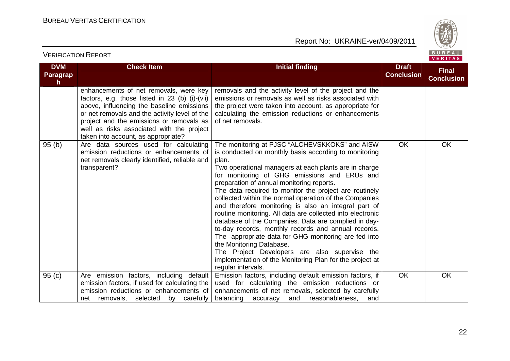

#### **DVM Paragraph Check Item Initial finding Check Item Initial finding Check Item Initial finding Initial finding Draft Conclusion Final Conclusion**enhancements of net removals, were key factors, e.g. those listed in 23 (b) (i)-(vii) above, influencing the baseline emissions or net removals and the activity level of the project and the emissions or removals as well as risks associated with the project taken into account, as appropriate? 95 (b) | Are data sources used for calculating removals and the activity level of the project and the emissions or removals as well as risks associated with the project were taken into account, as appropriate for calculating the emission reductions or enhancementsof net removals. emission reductions or enhancements of net removals clearly identified, reliable and transparent? The monitoring at PJSC "ALCHEVSKKOKS" and AISW is conducted on monthly basis according to monitoring plan. Two operational managers at each plants are in charge for monitoring of GHG emissions and ERUs and preparation of annual monitoring reports. The data required to monitor the project are routinely collected within the normal operation of the Companies and therefore monitoring is also an integral part of routine monitoring. All data are collected into electronic database of the Companies. Data are complied in day to-day records, monthly records and annual records. The appropriate data for GHG monitoring are fed into the Monitoring Database. The Project Developers are also supervise the implementation of the Monitoring Plan for the project at regular intervals. Emission factors, including default emission factors, if OK OK 95 (c) | Are emission factors, including default emission factors, if used for calculating the emission reductions or enhancements of net removals, selected by carefully used for calculating the emission reductions or enhancements of net removals, selected by carefullyand balancing accuracy and reasonableness. OK OK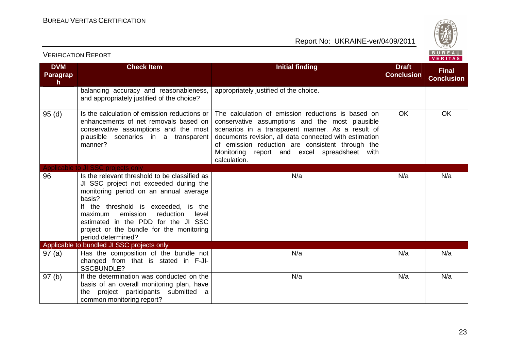

| <b>DVM</b><br>Paragrap<br>h. | <b>Check Item</b>                                                                                                                                                                                                         | <b>Initial finding</b>                                                                                                                                                                                                                                                                                                                   | <b>Draft</b><br><b>Conclusion</b> | <b>Final</b><br><b>Conclusion</b> |
|------------------------------|---------------------------------------------------------------------------------------------------------------------------------------------------------------------------------------------------------------------------|------------------------------------------------------------------------------------------------------------------------------------------------------------------------------------------------------------------------------------------------------------------------------------------------------------------------------------------|-----------------------------------|-----------------------------------|
|                              | balancing accuracy and reasonableness,<br>and appropriately justified of the choice?                                                                                                                                      | appropriately justified of the choice.                                                                                                                                                                                                                                                                                                   |                                   |                                   |
| 95(d)                        | Is the calculation of emission reductions or<br>enhancements of net removals based on<br>conservative assumptions and the most<br>plausible scenarios in a transparent<br>manner?                                         | The calculation of emission reductions is based on<br>conservative assumptions and the most plausible<br>scenarios in a transparent manner. As a result of<br>documents revision, all data connected with estimation<br>of emission reduction are consistent through the<br>Monitoring report and excel spreadsheet with<br>calculation. | <b>OK</b>                         | <b>OK</b>                         |
| 96                           | Applicable to JI SSC projects only<br>Is the relevant threshold to be classified as<br>JI SSC project not exceeded during the<br>monitoring period on an annual average<br>basis?<br>If the threshold is exceeded, is the | N/a                                                                                                                                                                                                                                                                                                                                      | N/a                               | N/a                               |
|                              | emission<br>reduction<br>level<br>maximum<br>estimated in the PDD for the JI SSC<br>project or the bundle for the monitoring<br>period determined?                                                                        |                                                                                                                                                                                                                                                                                                                                          |                                   |                                   |
|                              | Applicable to bundled JI SSC projects only                                                                                                                                                                                |                                                                                                                                                                                                                                                                                                                                          |                                   |                                   |
| 97 (a)                       | Has the composition of the bundle not<br>changed from that is stated in F-JI-<br><b>SSCBUNDLE?</b>                                                                                                                        | N/a                                                                                                                                                                                                                                                                                                                                      | N/a                               | N/a                               |
| 97(b)                        | If the determination was conducted on the<br>basis of an overall monitoring plan, have<br>the project participants submitted<br>a<br>common monitoring report?                                                            | N/a                                                                                                                                                                                                                                                                                                                                      | N/a                               | N/a                               |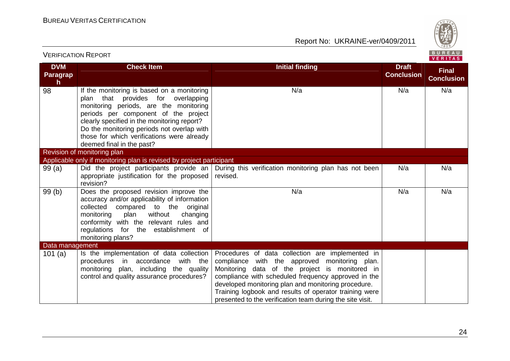

| <b>VERIFICATION REPORT</b>                    |                                                                                                                                                                                                                                                                                                                                                     |                                                                                                                                                                                                                                                                                                                                                                                          |                                   | BUREAU<br><b>VERITAS</b>          |
|-----------------------------------------------|-----------------------------------------------------------------------------------------------------------------------------------------------------------------------------------------------------------------------------------------------------------------------------------------------------------------------------------------------------|------------------------------------------------------------------------------------------------------------------------------------------------------------------------------------------------------------------------------------------------------------------------------------------------------------------------------------------------------------------------------------------|-----------------------------------|-----------------------------------|
| <b>DVM</b><br><b>Paragrap</b><br>$\mathsf{h}$ | <b>Check Item</b>                                                                                                                                                                                                                                                                                                                                   | <b>Initial finding</b>                                                                                                                                                                                                                                                                                                                                                                   | <b>Draft</b><br><b>Conclusion</b> | <b>Final</b><br><b>Conclusion</b> |
| 98                                            | If the monitoring is based on a monitoring<br>provides for<br>overlapping<br>plan<br>that<br>monitoring periods, are the monitoring<br>periods per component of the project<br>clearly specified in the monitoring report?<br>Do the monitoring periods not overlap with<br>those for which verifications were already<br>deemed final in the past? | N/a                                                                                                                                                                                                                                                                                                                                                                                      | N/a                               | N/a                               |
|                                               | Revision of monitoring plan                                                                                                                                                                                                                                                                                                                         |                                                                                                                                                                                                                                                                                                                                                                                          |                                   |                                   |
|                                               | Applicable only if monitoring plan is revised by project participant                                                                                                                                                                                                                                                                                |                                                                                                                                                                                                                                                                                                                                                                                          |                                   |                                   |
| 99(a)                                         | appropriate justification for the proposed<br>revision?                                                                                                                                                                                                                                                                                             | Did the project participants provide an   During this verification monitoring plan has not been<br>revised.                                                                                                                                                                                                                                                                              | N/a                               | N/a                               |
| 99(b)                                         | Does the proposed revision improve the<br>accuracy and/or applicability of information<br>collected<br>compared to the original<br>without<br>monitoring<br>plan<br>changing<br>conformity with the relevant rules and<br>regulations for the establishment of<br>monitoring plans?                                                                 | N/a                                                                                                                                                                                                                                                                                                                                                                                      | N/a                               | N/a                               |
| Data management                               |                                                                                                                                                                                                                                                                                                                                                     |                                                                                                                                                                                                                                                                                                                                                                                          |                                   |                                   |
| 101 $(a)$                                     | Is the implementation of data collection<br>procedures<br>with the<br>in accordance<br>monitoring plan, including the quality<br>control and quality assurance procedures?                                                                                                                                                                          | Procedures of data collection are implemented in<br>compliance with the approved monitoring plan.<br>Monitoring data of the project is monitored in<br>compliance with scheduled frequency approved in the<br>developed monitoring plan and monitoring procedure.<br>Training logbook and results of operator training were<br>presented to the verification team during the site visit. |                                   |                                   |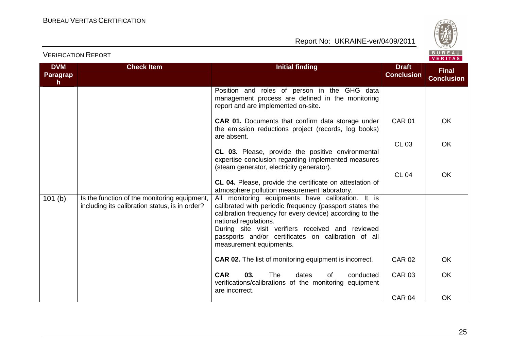





| <b>DVM</b><br><b>Paragrap</b> | <b>Check Item</b>                                                                              | <b>Initial finding</b>                                                                                                                                                                                                                                                                                                                   | <b>Draft</b><br><b>Conclusion</b> | <b>Final</b><br><b>Conclusion</b> |
|-------------------------------|------------------------------------------------------------------------------------------------|------------------------------------------------------------------------------------------------------------------------------------------------------------------------------------------------------------------------------------------------------------------------------------------------------------------------------------------|-----------------------------------|-----------------------------------|
| h.                            |                                                                                                | Position and roles of person in the GHG data<br>management process are defined in the monitoring                                                                                                                                                                                                                                         |                                   |                                   |
|                               |                                                                                                | report and are implemented on-site.<br><b>CAR 01.</b> Documents that confirm data storage under                                                                                                                                                                                                                                          | <b>CAR 01</b>                     | <b>OK</b>                         |
|                               |                                                                                                | the emission reductions project (records, log books)<br>are absent.                                                                                                                                                                                                                                                                      | <b>CL 03</b>                      | <b>OK</b>                         |
|                               |                                                                                                | CL 03. Please, provide the positive environmental<br>expertise conclusion regarding implemented measures<br>(steam generator, electricity generator).                                                                                                                                                                                    |                                   |                                   |
|                               |                                                                                                | CL 04. Please, provide the certificate on attestation of<br>atmosphere pollution measurement laboratory.                                                                                                                                                                                                                                 | <b>CL 04</b>                      | OK                                |
| 101(b)                        | Is the function of the monitoring equipment,<br>including its calibration status, is in order? | All monitoring equipments have calibration. It is<br>calibrated with periodic frequency (passport states the<br>calibration frequency for every device) according to the<br>national regulations.<br>During site visit verifiers received and reviewed<br>passports and/or certificates on calibration of all<br>measurement equipments. |                                   |                                   |
|                               |                                                                                                | <b>CAR 02.</b> The list of monitoring equipment is incorrect.                                                                                                                                                                                                                                                                            | <b>CAR 02</b>                     | <b>OK</b>                         |
|                               |                                                                                                | <b>CAR</b><br>03.<br><b>The</b><br>dates<br>of<br>conducted<br>verifications/calibrations of the monitoring equipment<br>are incorrect.                                                                                                                                                                                                  | <b>CAR 03</b>                     | <b>OK</b>                         |
|                               |                                                                                                |                                                                                                                                                                                                                                                                                                                                          | <b>CAR 04</b>                     | OK                                |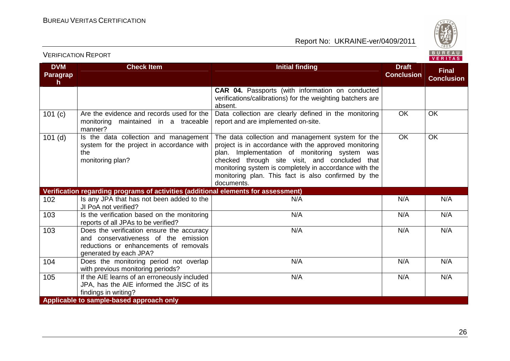VERIFICATION REPORT



| <b>DVM</b>                                                                         | <b>Check Item</b>                                                                                                                                     | <b>Initial finding</b>                                                                                                                                                                                                                                                                                                                       | <b>Draft</b>      | <b>Final</b>      |  |
|------------------------------------------------------------------------------------|-------------------------------------------------------------------------------------------------------------------------------------------------------|----------------------------------------------------------------------------------------------------------------------------------------------------------------------------------------------------------------------------------------------------------------------------------------------------------------------------------------------|-------------------|-------------------|--|
| Paragrap<br>h                                                                      |                                                                                                                                                       |                                                                                                                                                                                                                                                                                                                                              | <b>Conclusion</b> | <b>Conclusion</b> |  |
|                                                                                    |                                                                                                                                                       | CAR 04. Passports (with information on conducted<br>verifications/calibrations) for the weighting batchers are<br>absent.                                                                                                                                                                                                                    |                   |                   |  |
| 101 (c)                                                                            | Are the evidence and records used for the<br>maintained in a traceable<br>monitoring<br>manner?                                                       | Data collection are clearly defined in the monitoring<br>report and are implemented on-site.                                                                                                                                                                                                                                                 | OK                | OK                |  |
| $101$ (d)                                                                          | Is the data collection and management<br>system for the project in accordance with<br>the<br>monitoring plan?                                         | The data collection and management system for the<br>project is in accordance with the approved monitoring<br>plan. Implementation of monitoring system was<br>checked through site visit, and concluded that<br>monitoring system is completely in accordance with the<br>monitoring plan. This fact is also confirmed by the<br>documents. | OK                | OK                |  |
| Verification regarding programs of activities (additional elements for assessment) |                                                                                                                                                       |                                                                                                                                                                                                                                                                                                                                              |                   |                   |  |
| 102                                                                                | Is any JPA that has not been added to the<br>JI PoA not verified?                                                                                     | N/A                                                                                                                                                                                                                                                                                                                                          | N/A               | N/A               |  |
| 103                                                                                | Is the verification based on the monitoring<br>reports of all JPAs to be verified?                                                                    | N/A                                                                                                                                                                                                                                                                                                                                          | N/A               | N/A               |  |
| 103                                                                                | Does the verification ensure the accuracy<br>and conservativeness of the emission<br>reductions or enhancements of removals<br>generated by each JPA? | N/A                                                                                                                                                                                                                                                                                                                                          | N/A               | N/A               |  |
| 104                                                                                | Does the monitoring period not overlap<br>with previous monitoring periods?                                                                           | N/A                                                                                                                                                                                                                                                                                                                                          | N/A               | N/A               |  |
| 105                                                                                | If the AIE learns of an erroneously included<br>JPA, has the AIE informed the JISC of its<br>findings in writing?                                     | N/A                                                                                                                                                                                                                                                                                                                                          | N/A               | N/A               |  |
| Applicable to sample-based approach only                                           |                                                                                                                                                       |                                                                                                                                                                                                                                                                                                                                              |                   |                   |  |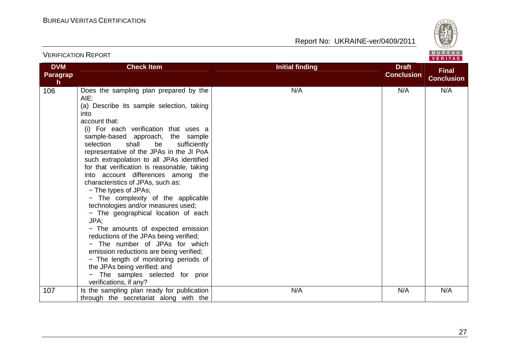VERIFICATION REPORT

Report No: UKRAINE-ver/0409/2011



#### **DVM Paragraph Check Item Initial finding Check Item Initial finding Check Item Initial finding Check Item Initial finding Check Item Initial finding Check Item Initial finding Check Item Initial finding Check Item Initial finding Check Conclusion Final Conclusion**106 Does the sampling plan prepared by the AIE: (a) Describe its sample selection, taking into account that: (i) For each verification that uses a sample-based approach, the sample selection shall be sufficiently representative of the JPAs in the JI PoA such extrapolation to all JPAs identified for that verification is reasonable, taking into account differences among the characteristics of JPAs, such as: − The types of JPAs; − The complexity of the applicable technologies and/or measures used; − The geographical location of each JPA; − The amounts of expected emission reductions of the JPAs being verified; − The number of JPAs for which emission reductions are being verified; − The length of monitoring periods of the JPAs being verified; and − The samples selected for prior verifications, if any? 107 | Is the sampling plan ready for publication N/A I N/A I N/A through the secretariat along with the N/A N/A N/A N/A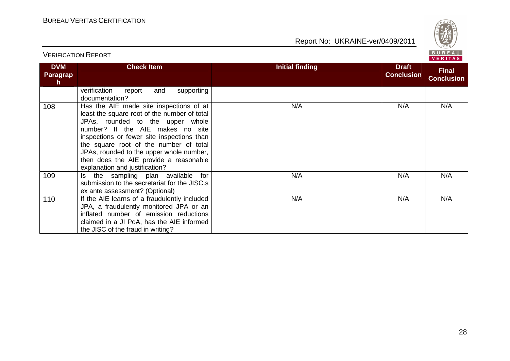VERIFICATION REPORT



| <b>DVM</b><br><b>Paragrap</b><br>$\mathsf{h}$ | <b>Check Item</b>                                                                                                                                                                                                                                                                                                                                                               | <b>Initial finding</b> | <b>Draft</b><br><b>Conclusion</b> | <b>Final</b><br><b>Conclusion</b> |
|-----------------------------------------------|---------------------------------------------------------------------------------------------------------------------------------------------------------------------------------------------------------------------------------------------------------------------------------------------------------------------------------------------------------------------------------|------------------------|-----------------------------------|-----------------------------------|
|                                               | verification<br>and<br>supporting<br>report<br>documentation?                                                                                                                                                                                                                                                                                                                   |                        |                                   |                                   |
| 108                                           | Has the AIE made site inspections of at<br>least the square root of the number of total<br>JPAs, rounded to the upper whole<br>number? If the AIE makes no site<br>inspections or fewer site inspections than<br>the square root of the number of total<br>JPAs, rounded to the upper whole number,<br>then does the AIE provide a reasonable<br>explanation and justification? | N/A                    | N/A                               | N/A                               |
| 109                                           | the sampling plan available<br>for<br>ls.<br>submission to the secretariat for the JISC.s<br>ex ante assessment? (Optional)                                                                                                                                                                                                                                                     | N/A                    | N/A                               | N/A                               |
| 110                                           | If the AIE learns of a fraudulently included<br>JPA, a fraudulently monitored JPA or an<br>inflated number of emission reductions<br>claimed in a JI PoA, has the AIE informed<br>the JISC of the fraud in writing?                                                                                                                                                             | N/A                    | N/A                               | N/A                               |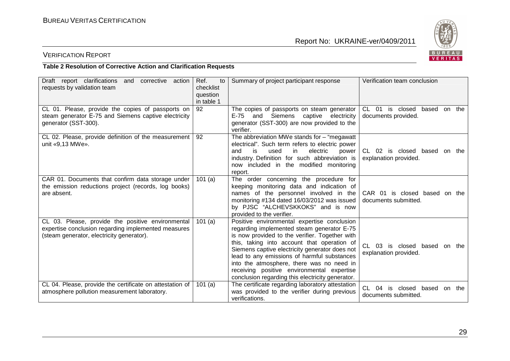

### VERIFICATION REPORT

#### **Table 2 Resolution of Corrective Action and Clarification Requests**

| Draft report clarifications<br>and<br>corrective<br>action<br>requests by validation team                                                             | Ref.<br>to<br>checklist<br>question<br>in table 1 | Summary of project participant response                                                                                                                                                                                                                                                                                                                                                                                                    | Verification team conclusion                                       |
|-------------------------------------------------------------------------------------------------------------------------------------------------------|---------------------------------------------------|--------------------------------------------------------------------------------------------------------------------------------------------------------------------------------------------------------------------------------------------------------------------------------------------------------------------------------------------------------------------------------------------------------------------------------------------|--------------------------------------------------------------------|
| CL 01. Please, provide the copies of passports on<br>steam generator E-75 and Siemens captive electricity<br>generator (SST-300).                     | 92                                                | The copies of passports on steam generator<br>and Siemens captive electricity<br>E-75<br>generator (SST-300) are now provided to the<br>verifier.                                                                                                                                                                                                                                                                                          | CL 01 is closed<br>based<br>on the<br>documents provided.          |
| CL 02. Please, provide definition of the measurement<br>unit «9,13 MWe».                                                                              | 92                                                | The abbreviation MWe stands for $-$ "megawatt"<br>electrical". Such term refers to electric power<br>electric<br>is.<br>used<br>in.<br>and<br>power<br>industry. Definition for such abbreviation is<br>now included in the modified monitoring<br>report.                                                                                                                                                                                 | CL 02 is closed based on the<br>explanation provided.              |
| CAR 01. Documents that confirm data storage under<br>the emission reductions project (records, log books)<br>are absent.                              | 101 $(a)$                                         | The order concerning the procedure for<br>keeping monitoring data and indication of<br>names of the personnel involved in the<br>monitoring #134 dated 16/03/2012 was issued<br>by PJSC "ALCHEVSKKOKS" and is now<br>provided to the verifier.                                                                                                                                                                                             | CAR 01 is closed based on the<br>documents submitted.              |
| CL 03. Please, provide the positive environmental<br>expertise conclusion regarding implemented measures<br>(steam generator, electricity generator). | 101(a)                                            | Positive environmental expertise conclusion<br>regarding implemented steam generator E-75<br>is now provided to the verifier. Together with<br>this, taking into account that operation of<br>Siemens captive electricity generator does not<br>lead to any emissions of harmful substances<br>into the atmosphere, there was no need in<br>receiving positive environmental expertise<br>conclusion regarding this electricity generator. | CL 03 is closed based on the<br>explanation provided.              |
| CL 04. Please, provide the certificate on attestation of<br>atmosphere pollution measurement laboratory.                                              | 101(a)                                            | The certificate regarding laboratory attestation<br>was provided to the verifier during previous<br>verifications.                                                                                                                                                                                                                                                                                                                         | $CL$ 04<br>is closed<br>based<br>the<br>on<br>documents submitted. |